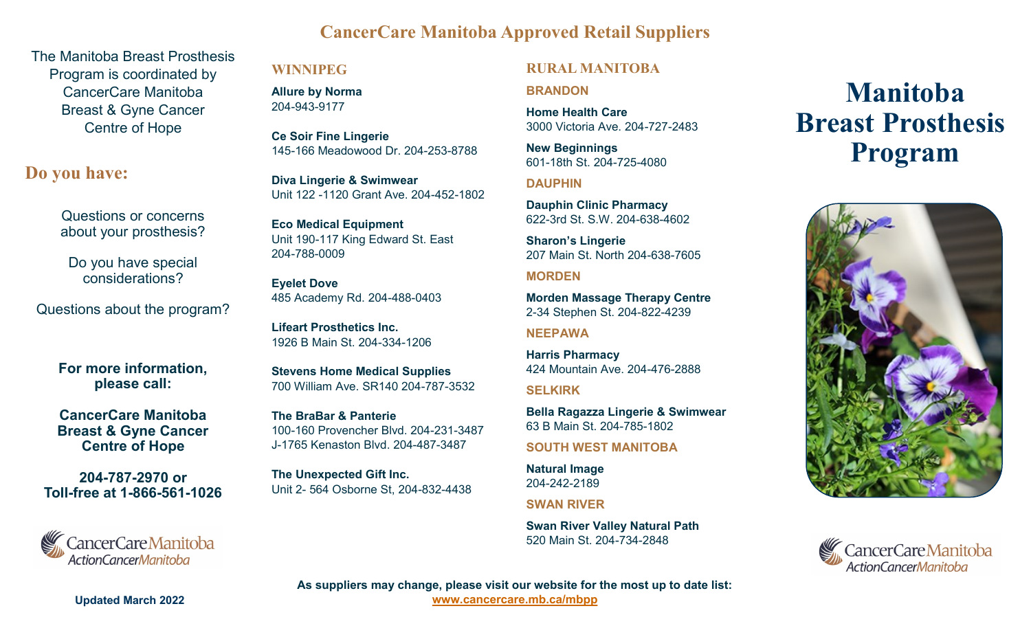# **CancerCare Manitoba Approved Retail Suppliers**

The Manitoba Breast Prosthesis Program is coordinated by CancerCare Manitoba Breast & Gyne Cancer Centre of Hope

# **Do you have:**

Questions or concerns about your prosthesis?

Do you have special considerations?

Questions about the program?

**For more information, please call:** 

**CancerCare Manitoba Breast & Gyne Cancer Centre of Hope**

**204-787-2970 or Toll-free at 1-866-561-1026** 



#### **WINNIPEG**

**Allure by Norma**  204-943-9177

**Ce Soir Fine Lingerie**  145-166 Meadowood Dr. 204-253-8788

**Diva Lingerie & Swimwear**  Unit 122 -1120 Grant Ave. 204-452-1802

**Eco Medical Equipment**  Unit 190-117 King Edward St. East 204-788-0009

**Eyelet Dove**  485 Academy Rd. 204-488-0403

**Lifeart Prosthetics Inc.**  1926 B Main St. 204-334-1206

**Stevens Home Medical Supplies**  700 William Ave. SR140 204-787-3532

**The BraBar & Panterie**  100-160 Provencher Blvd. 204-231-3487 J-1765 Kenaston Blvd. 204-487-3487

**The Unexpected Gift Inc.**  Unit 2- 564 Osborne St, 204-832-4438

### **RURAL MANITOBA**

**BRANDON**

**Home Health Care**  3000 Victoria Ave. 204-727-2483

**New Beginnings**  601-18th St. 204-725-4080

**DAUPHIN**

**Dauphin Clinic Pharmacy**  622-3rd St. S.W. 204-638-4602

**Sharon's Lingerie**  207 Main St. North 204-638-7605

#### **MORDEN**

**Morden Massage Therapy Centre**  2-34 Stephen St. 204-822-4239

**NEEPAWA**

**Harris Pharmacy**  424 Mountain Ave. 204-476-2888

**SELKIRK**

**Bella Ragazza Lingerie & Swimwear**  63 B Main St. 204-785-1802

**SOUTH WEST MANITOBA**

**Natural Image**  204-242-2189

**SWAN RIVER**

**Swan River Valley Natural Path**  520 Main St. 204-734-2848

# **Manitoba Breast Prosthesis Program**





**Updated March 2022**

**As suppliers may change, please visit our website for the most up to date list: [www.cancercare.mb.ca/mbpp](https://www.cancercare.mb.ca/Patient-Family/breast-gyne-cancer-center-of-hope/manitoba-breast-prosthesis-program)**